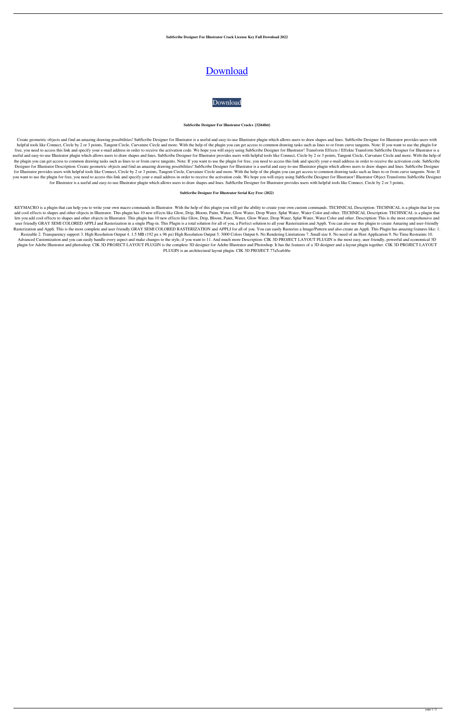**SubScribe Designer For Illustrator Crack License Key Full Download 2022**

# [Download](http://evacdir.com/ZG93bmxvYWR8VkQ1T0RSak1YeDhNVFkxTkRVeU1qRXhNSHg4TWpVNU1IeDhLRTBwSUZkdmNtUndjbVZ6Y3lCYldFMU1VbEJESUZZeUlGQkVSbDA.larson.adolix/U3ViU2NyaWJlIERlc2lnbmVyIGZvciBJbGx1c3RyYXRvcgU3V/anteroom/coloring/yuniesky/gruden/)

# [Download](http://evacdir.com/ZG93bmxvYWR8VkQ1T0RSak1YeDhNVFkxTkRVeU1qRXhNSHg4TWpVNU1IeDhLRTBwSUZkdmNtUndjbVZ6Y3lCYldFMU1VbEJESUZZeUlGQkVSbDA.larson.adolix/U3ViU2NyaWJlIERlc2lnbmVyIGZvciBJbGx1c3RyYXRvcgU3V/anteroom/coloring/yuniesky/gruden/)

#### **SubScribe Designer For Illustrator Crack+ [32|64bit]**

Create geometric objects and find an amazing drawing possibilities! SubScribe Designer for Illustrator is a useful and easy-to-use Illustrator plugin which allows users to draw shapes and lines. SubScribe Designer for Illu helpful tools like Connect, Circle by 2 or 3 points, Tangent Circle, Curvature Circle and more. With the help of the plugin you can get access to common drawing tasks such as lines to or from curve tangents. Note: If you w free, you need to access this link and specify your e-mail address in order to receive the activation code. We hope you will enjoy using SubScribe Designer for Illustrator! Transform Effects / Effekte Transform SubScribe D useful and easy-to-use Illustrator plugin which allows users to draw shapes and lines. SubScribe Designer for Illustrator provides users with helpful tools like Connect, Circle by 2 or 3 points, Tangent Circle, Curvature C the plugin you can get access to common drawing tasks such as lines to or from curve tangents. Note: If you want to use the plugin for free, you need to access this link and specify your e-mail address in order to receive Designer for Illustrator Description: Create geometric objects and find an amazing drawing possibilities! SubScribe Designer for Illustrator is a useful and easy-to-use Illustrator plugin which allows users to draw shapes for Illustrator provides users with helpful tools like Connect, Circle by 2 or 3 points, Tangent Circle, Curvature Circle and more. With the help of the plugin you can get access to common drawing tasks such as lines to or you want to use the plugin for free, you need to access this link and specify your e-mail address in order to receive the activation code. We hope you will enjoy using SubScribe Designer for Illustrator! Illustrator Object for Illustrator is a useful and easy-to-use Illustrator plugin which allows users to draw shapes and lines. SubScribe Designer for Illustrator provides users with helpful tools like Connect, Circle by 2 or 3 points,

KEYMACRO is a plugin that can help you to write your own macro commands in Illustrator. With the help of this plugin you will get the ability to create your own custom commands. TECHNICAL Description: TECHNICAL is a plugin add cool effects to shapes and other objects in Illustrator. This plugin has 10 new effects like Glow, Drip, Bloom, Paint, Water, Glow Water, Drop Water, Splat Water, Water Color and other. TECHNICAL Description: TECHNICAL lets you add cool effects to shapes and other objects in Illustrator. This plugin has 10 new effects like Glow, Drip, Bloom, Paint, Water, Glow Water, Drop Water, Splat Water, Water Color and other. Description: This is th user friendly GRAY SEMI COLORED APPLI and Rasterization in a single Plug-in. This Plugin is a total solution for all of you, a Perfect solution to all your Rasterization and Appli. You can also use this plugin to create Am Rasterization and Appli. This is the most complete and user friendly GRAY SEMI COLORED RASTERIZATION and APPLI for all of you. You can easily Rasterize a Image/Pattern and also create an Appli. This Plugin has amazing feat Resizable 2. Transparency support 3. High Resolution Output 4. 1.5 MB (192 px x 96 px) High Resolution Output 5. 3000 Colors Output 6. No Rendering Limitations 7. Small size 8. No need of an Host Application 9. No Time Res Advanced Customization and you can easily handle every aspect and make changes to the style, if you want to 11. And much more Description: CIK 3D PROJECT LAYOUT PLUGIN is the most easy, user friendly, powerful and economic plugin for Adobe Illustrator and photoshop. CIK 3D PROJECT LAYOUT PLUGIN is the complete 3D designer for Adobe Illustrator and Photoshop. It has the features of a 3D designer and a layout plugin together. CIK 3D PROJECT LA PLUGIN is an architectural layout plugin. CIK 3D PROJECT 77a5ca646e

# **SubScribe Designer For Illustrator Serial Key Free (2022)**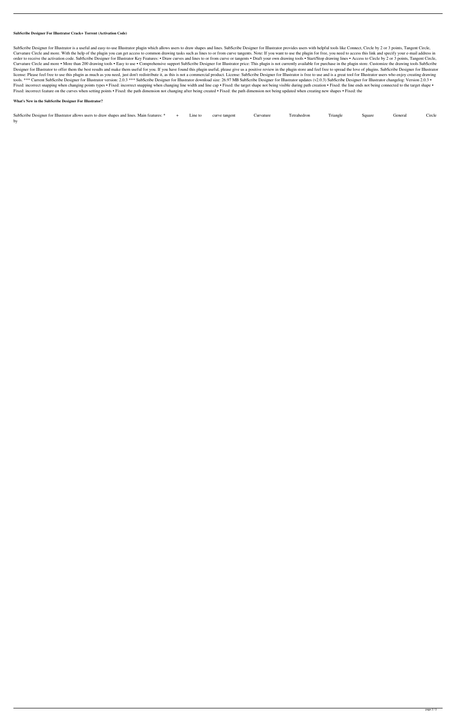### **SubScribe Designer For Illustrator Crack+ Torrent (Activation Code)**

SubScribe Designer for Illustrator is a useful and easy-to-use Illustrator plugin which allows users to draw shapes and lines. SubScribe Designer for Illustrator provides users with helpful tools like Connect, Circle by 2 Curvature Circle and more. With the help of the plugin you can get access to common drawing tasks such as lines to or from curve tangents. Note: If you want to use the plugin for free, you need to access this link and spec order to receive the activation code. SubScribe Designer for Illustrator Key Features: . Draw curves and lines to or from curve or tangents . Draft your own drawing tools . Start/Stop drawing lines . Access to Circle by 2 Curvature Circle and more • More than 200 drawing tools • Easy to use • Comprehensive support SubScribe Designer for Illustrator price: This plugin is not currently available for purchase in the plugin store. Customize the Designer for Illustrator to offer them the best results and make them useful for you. If you have found this plugin useful, please give us a positive review in the plugin store and feel free to spread the love of plugins. license: Please feel free to use this plugin as much as you need, just don't redistribute it, as this is not a commercial product. License: SubScribe Designer for Illustrator is free to use and is a great tool for Illustra tools. \*\*\* Current SubScribe Designer for Illustrator version: 2.0.3 \*\*\* SubScribe Designer for Illustrator download size: 26.97 MB SubScribe Designer for Illustrator updates (v2.0.3) SubScribe Designer for Illustrator cha Fixed: incorrect snapping when changing points types · Fixed: incorrect snapping when changing line width and line cap · Fixed: the target shape not being visible during path creation · Fixed: the line ends not being conne Fixed: incorrect feature on the curves when setting points • Fixed: the path dimension not changing after being created • Fixed: the path dimension not being updated when creating new shapes • Fixed: the

#### **What's New in the SubScribe Designer For Illustrator?**

| SubScribe Designer for Illustrator allows users to draw shapes and lines. Main features: * | Line to | curve tangent | Curvature | Tetrahedron | Triangle | Square | General | Circle |
|--------------------------------------------------------------------------------------------|---------|---------------|-----------|-------------|----------|--------|---------|--------|
|                                                                                            |         |               |           |             |          |        |         |        |